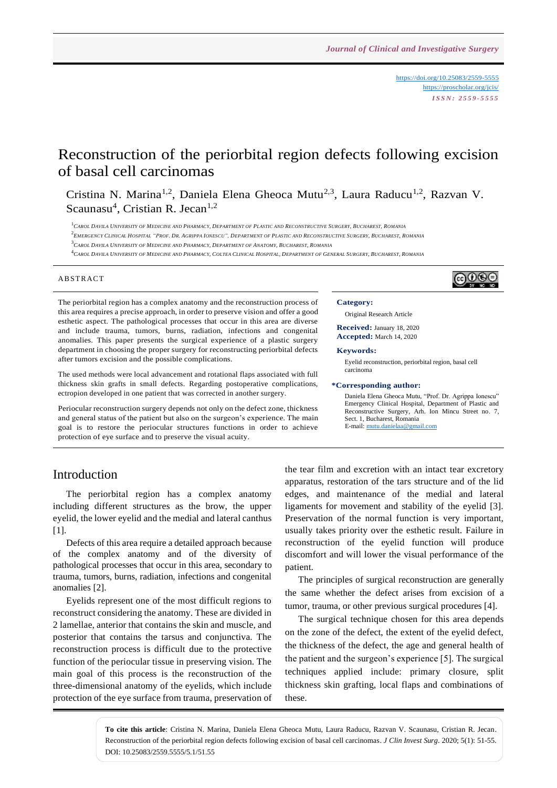<https://doi.org/10.25083/2559-5555> <https://proscholar.org/jcis/> *I S S N : 2 5 5 9 - 5 5 5 5*

⊚⊙⊛⊜

# Reconstruction of the periorbital region defects following excision of basal cell carcinomas

Cristina N. Marina<sup>1,2</sup>, Daniela Elena Gheoca Mutu<sup>2,3</sup>, Laura Raducu<sup>1,2</sup>, Razvan V. Scaunasu<sup>4</sup>, Cristian R. Jecan<sup>1,2</sup>

 $^1$ Carol Davila University of Medicine and Pharmacy, Department of Plastic and Reconstructive Surgery, Bucharest, Romania

<sup>2</sup>EMERGENCY CLINICAL HOSPITAL "PROF. DR. AGRIPPA IONESCU", DEPARTMENT OF PLASTIC AND RECONSTRUCTIVE SURGERY, BUCHAREST, ROMANIA

 $^3C$ AROL DAVILA UNIVERSITY OF MEDICINE AND PHARMACY, DEPARTMENT OF ANATOMY, BUCHAREST, ROMANIA

<sup>4</sup> CAROL DAVILA UNIVERSITY OF MEDICINE AND PHARMACY, COLTEA CLINICAL HOSPITAL, DEPARTMENT OF GENERAL SURGERY, BUCHAREST, ROMANIA

### **ABSTRACT**

The periorbital region has a complex anatomy and the reconstruction process of this area requires a precise approach, in order to preserve vision and offer a good esthetic aspect. The pathological processes that occur in this area are diverse and include trauma, tumors, burns, radiation, infections and congenital anomalies. This paper presents the surgical experience of a plastic surgery department in choosing the proper surgery for reconstructing periorbital defects after tumors excision and the possible complications.

The used methods were local advancement and rotational flaps associated with full thickness skin grafts in small defects. Regarding postoperative complications, ectropion developed in one patient that was corrected in another surgery.

Periocular reconstruction surgery depends not only on the defect zone, thickness and general status of the patient but also on the surgeon's experience. The main goal is to restore the periocular structures functions in order to achieve protection of eye surface and to preserve the visual acuity.

### **Category:**

Original Research Article

**Received:** January 18, 2020 **Accepted:** March 14, 2020

#### **Keywords:**

Eyelid reconstruction, periorbital region, basal cell carcinoma

#### **\*Corresponding author:**

Daniela Elena Gheoca Mutu, "Prof. Dr. Agrippa Ionescu" Emergency Clinical Hospital, Department of Plastic and Reconstructive Surgery, Arh. Ion Mincu Street no. 7, Sect. 1, Bucharest, Romania E-mail[: mutu.danielaa@gmail.com](mailto:mutu.danielaa@gmail.com)

# Introduction

The periorbital region has a complex anatomy including different structures as the brow, the upper eyelid, the lower eyelid and the medial and lateral canthus [1].

Defects of this area require a detailed approach because of the complex anatomy and of the diversity of pathological processes that occur in this area, secondary to trauma, tumors, burns, radiation, infections and congenital anomalies [2].

Eyelids represent one of the most difficult regions to reconstruct considering the anatomy. These are divided in 2 lamellae, anterior that contains the skin and muscle, and posterior that contains the tarsus and conjunctiva. The reconstruction process is difficult due to the protective function of the periocular tissue in preserving vision. The main goal of this process is the reconstruction of the three-dimensional anatomy of the eyelids, which include protection of the eye surface from trauma, preservation of the tear film and excretion with an intact tear excretory apparatus, restoration of the tars structure and of the lid edges, and maintenance of the medial and lateral ligaments for movement and stability of the eyelid [3]. Preservation of the normal function is very important, usually takes priority over the esthetic result. Failure in reconstruction of the eyelid function will produce discomfort and will lower the visual performance of the patient.

The principles of surgical reconstruction are generally the same whether the defect arises from excision of a tumor, trauma, or other previous surgical procedures [4].

The surgical technique chosen for this area depends on the zone of the defect, the extent of the eyelid defect, the thickness of the defect, the age and general health of the patient and the surgeon's experience [5]. The surgical techniques applied include: primary closure, split thickness skin grafting, local flaps and combinations of these.

**To cite this article**: Cristina N. Marina, Daniela Elena Gheoca Mutu, Laura Raducu, Razvan V. Scaunasu, Cristian R. Jecan. Reconstruction of the periorbital region defects following excision of basal cell carcinomas. *J Clin Invest Surg*. 2020; 5(1): 51-55. DOI: 10.25083/2559.5555/5.1/51.55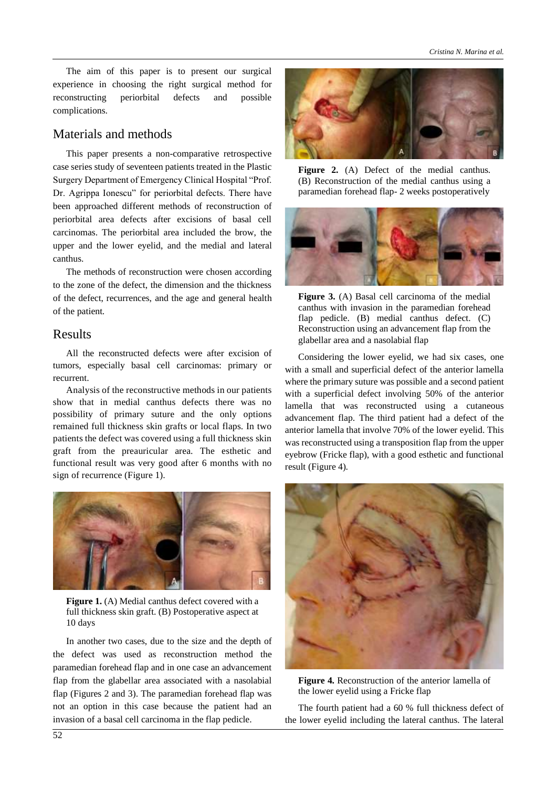The aim of this paper is to present our surgical experience in choosing the right surgical method for reconstructing periorbital defects and possible complications.

# Materials and methods

This paper presents a non-comparative retrospective case series study of seventeen patients treated in the Plastic Surgery Department of Emergency Clinical Hospital "Prof. Dr. Agrippa Ionescu" for periorbital defects. There have been approached different methods of reconstruction of periorbital area defects after excisions of basal cell carcinomas. The periorbital area included the brow, the upper and the lower eyelid, and the medial and lateral canthus.

The methods of reconstruction were chosen according to the zone of the defect, the dimension and the thickness of the defect, recurrences, and the age and general health of the patient.

# Results

All the reconstructed defects were after excision of tumors, especially basal cell carcinomas: primary or recurrent.

Analysis of the reconstructive methods in our patients show that in medial canthus defects there was no possibility of primary suture and the only options remained full thickness skin grafts or local flaps. In two patients the defect was covered using a full thickness skin graft from the preauricular area. The esthetic and functional result was very good after 6 months with no sign of recurrence (Figure 1).



**Figure 1.** (A) Medial canthus defect covered with a full thickness skin graft. (B) Postoperative aspect at 10 days

In another two cases, due to the size and the depth of the defect was used as reconstruction method the paramedian forehead flap and in one case an advancement flap from the glabellar area associated with a nasolabial flap (Figures 2 and 3). The paramedian forehead flap was not an option in this case because the patient had an invasion of a basal cell carcinoma in the flap pedicle.



Figure 2. (A) Defect of the medial canthus. (B) Reconstruction of the medial canthus using a paramedian forehead flap- 2 weeks postoperatively



**Figure 3.** (A) Basal cell carcinoma of the medial canthus with invasion in the paramedian forehead flap pedicle. (B) medial canthus defect. (C) Reconstruction using an advancement flap from the glabellar area and a nasolabial flap

Considering the lower eyelid, we had six cases, one with a small and superficial defect of the anterior lamella where the primary suture was possible and a second patient with a superficial defect involving 50% of the anterior lamella that was reconstructed using a cutaneous advancement flap. The third patient had a defect of the anterior lamella that involve 70% of the lower eyelid. This was reconstructed using a transposition flap from the upper eyebrow (Fricke flap), with a good esthetic and functional result (Figure 4).



**Figure 4.** Reconstruction of the anterior lamella of the lower eyelid using a Fricke flap

The fourth patient had a 60 % full thickness defect of the lower eyelid including the lateral canthus. The lateral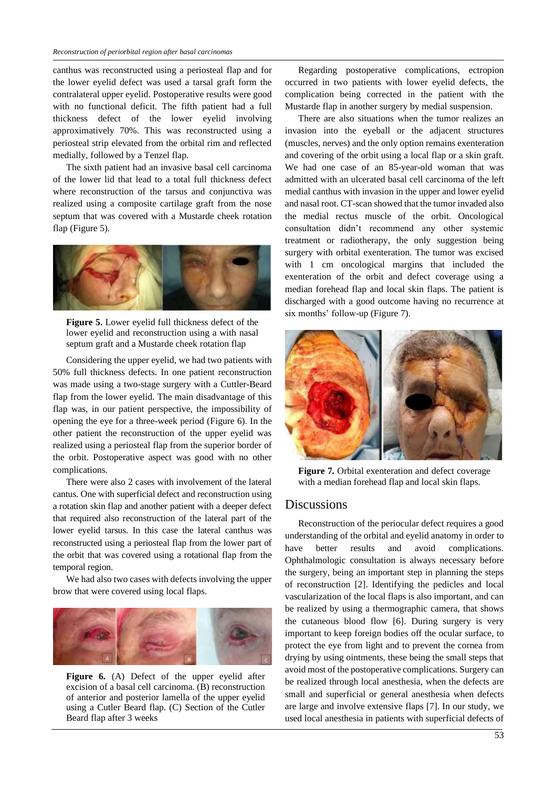canthus was reconstructed using a periosteal flap and for the lower eyelid defect was used a tarsal graft form the contralateral upper eyelid. Postoperative results were good with no functional deficit. The fifth patient had a full thickness defect of the lower eyelid involving approximatively 70%. This was reconstructed using a periosteal strip elevated from the orbital rim and reflected medially, followed by a Tenzel flap.

The sixth patient had an invasive basal cell carcinoma of the lower lid that lead to a total full thickness defect where reconstruction of the tarsus and conjunctiva was realized using a composite cartilage graft from the nose septum that was covered with a Mustarde cheek rotation flap (Figure 5).



**Figure 5.** Lower eyelid full thickness defect of the lower eyelid and reconstruction using a with nasal septum graft and a Mustarde cheek rotation flap

Considering the upper eyelid, we had two patients with 50% full thickness defects. In one patient reconstruction was made using a two-stage surgery with a Cuttler-Beard flap from the lower eyelid. The main disadvantage of this flap was, in our patient perspective, the impossibility of opening the eye for a three-week period (Figure 6). In the other patient the reconstruction of the upper eyelid was realized using a periosteal flap from the superior border of the orbit. Postoperative aspect was good with no other complications.

There were also 2 cases with involvement of the lateral cantus. One with superficial defect and reconstruction using a rotation skin flap and another patient with a deeper defect that required also reconstruction of the lateral part of the lower eyelid tarsus. In this case the lateral canthus was reconstructed using a periosteal flap from the lower part of the orbit that was covered using a rotational flap from the temporal region.

We had also two cases with defects involving the upper brow that were covered using local flaps.



**Figure 6.** (A) Defect of the upper eyelid after excision of a basal cell carcinoma. (B) reconstruction of anterior and posterior lamella of the upper eyelid using a Cutler Beard flap. (C) Section of the Cutler Beard flap after 3 weeks

Regarding postoperative complications, ectropion occurred in two patients with lower eyelid defects, the complication being corrected in the patient with the Mustarde flap in another surgery by medial suspension.

There are also situations when the tumor realizes an invasion into the eyeball or the adjacent structures (muscles, nerves) and the only option remains exenteration and covering of the orbit using a local flap or a skin graft. We had one case of an 85-year-old woman that was admitted with an ulcerated basal cell carcinoma of the left medial canthus with invasion in the upper and lower eyelid and nasal root. CT-scan showed that the tumor invaded also the medial rectus muscle of the orbit. Oncological consultation didn't recommend any other systemic treatment or radiotherapy, the only suggestion being surgery with orbital exenteration. The tumor was excised with 1 cm oncological margins that included the exenteration of the orbit and defect coverage using a median forehead flap and local skin flaps. The patient is discharged with a good outcome having no recurrence at six months' follow-up (Figure 7).



**Figure 7.** Orbital exenteration and defect coverage with a median forehead flap and local skin flaps.

### **Discussions**

Reconstruction of the periocular defect requires a good understanding of the orbital and eyelid anatomy in order to have better results and avoid complications. Ophthalmologic consultation is always necessary before the surgery, being an important step in planning the steps of reconstruction [2]. Identifying the pedicles and local vascularization of the local flaps is also important, and can be realized by using a thermographic camera, that shows the cutaneous blood flow [6]. During surgery is very important to keep foreign bodies off the ocular surface, to protect the eye from light and to prevent the cornea from drying by using ointments, these being the small steps that avoid most of the postoperative complications. Surgery can be realized through local anesthesia, when the defects are small and superficial or general anesthesia when defects are large and involve extensive flaps [7]. In our study, we used local anesthesia in patients with superficial defects of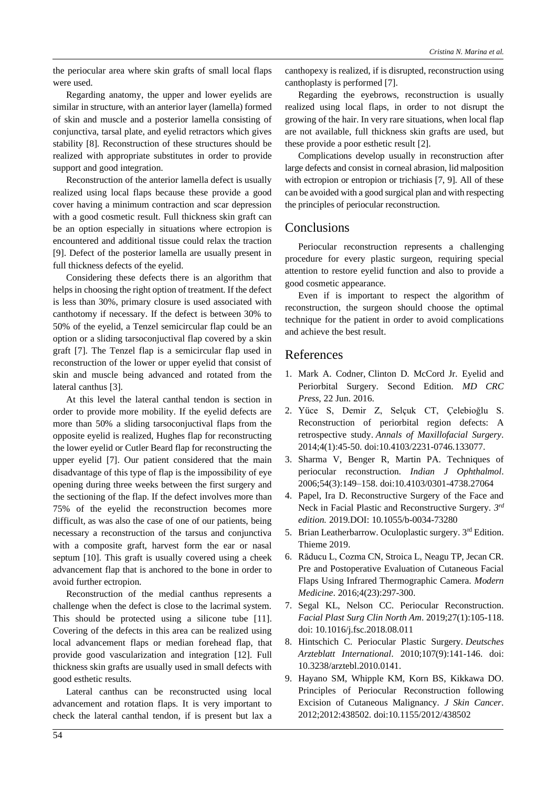the periocular area where skin grafts of small local flaps were used.

Regarding anatomy, the upper and lower eyelids are similar in structure, with an anterior layer (lamella) formed of skin and muscle and a posterior lamella consisting of conjunctiva, tarsal plate, and eyelid retractors which gives stability [8]. Reconstruction of these structures should be realized with appropriate substitutes in order to provide support and good integration.

Reconstruction of the anterior lamella defect is usually realized using local flaps because these provide a good cover having a minimum contraction and scar depression with a good cosmetic result. Full thickness skin graft can be an option especially in situations where ectropion is encountered and additional tissue could relax the traction [9]. Defect of the posterior lamella are usually present in full thickness defects of the eyelid.

Considering these defects there is an algorithm that helps in choosing the right option of treatment. If the defect is less than 30%, primary closure is used associated with canthotomy if necessary. If the defect is between 30% to 50% of the eyelid, a Tenzel semicircular flap could be an option or a sliding tarsoconjuctival flap covered by a skin graft [7]. The Tenzel flap is a semicircular flap used in reconstruction of the lower or upper eyelid that consist of skin and muscle being advanced and rotated from the lateral canthus [3].

At this level the lateral canthal tendon is section in order to provide more mobility. If the eyelid defects are more than 50% a sliding tarsoconjuctival flaps from the opposite eyelid is realized, Hughes flap for reconstructing the lower eyelid or Cutler Beard flap for reconstructing the upper eyelid [7]. Our patient considered that the main disadvantage of this type of flap is the impossibility of eye opening during three weeks between the first surgery and the sectioning of the flap. If the defect involves more than 75% of the eyelid the reconstruction becomes more difficult, as was also the case of one of our patients, being necessary a reconstruction of the tarsus and conjunctiva with a composite graft, harvest form the ear or nasal septum [10]. This graft is usually covered using a cheek advancement flap that is anchored to the bone in order to avoid further ectropion.

Reconstruction of the medial canthus represents a challenge when the defect is close to the lacrimal system. This should be protected using a silicone tube [11]. Covering of the defects in this area can be realized using local advancement flaps or median forehead flap, that provide good vascularization and integration [12]. Full thickness skin grafts are usually used in small defects with good esthetic results.

Lateral canthus can be reconstructed using local advancement and rotation flaps. It is very important to check the lateral canthal tendon, if is present but lax a canthopexy is realized, if is disrupted, reconstruction using canthoplasty is performed [7].

Regarding the eyebrows, reconstruction is usually realized using local flaps, in order to not disrupt the growing of the hair. In very rare situations, when local flap are not available, full thickness skin grafts are used, but these provide a poor esthetic result [2].

Complications develop usually in reconstruction after large defects and consist in corneal abrasion, lid malposition with ectropion or entropion or trichiasis [7, 9]. All of these can be avoided with a good surgical plan and with respecting the principles of periocular reconstruction.

# **Conclusions**

Periocular reconstruction represents a challenging procedure for every plastic surgeon, requiring special attention to restore eyelid function and also to provide a good cosmetic appearance.

Even if is important to respect the algorithm of reconstruction, the surgeon should choose the optimal technique for the patient in order to avoid complications and achieve the best result.

### References

- 1. Mark A. Codner, Clinton D. McCord Jr*.* Eyelid and Periorbital Surgery. Second Edition. *MD CRC Press*, 22 Jun. 2016.
- 2. Yüce S, Demir Z, Selçuk CT, Çelebioğlu S. Reconstruction of periorbital region defects: A retrospective study. *Annals of Maxillofacial Surgery*. 2014;4(1):45-50. doi:10.4103/2231-0746.133077.
- 3. Sharma V, Benger R, Martin PA. Techniques of periocular reconstruction. *Indian J Ophthalmol*. 2006;54(3):149–158. doi:10.4103/0301-4738.27064
- 4. Papel, Ira D. Reconstructive Surgery of the Face and Neck in Facial Plastic and Reconstructive Surgery.  $3^{ra}$ *edition.* 2019.DOI: 10.1055/b-0034-73280
- 5. Brian Leatherbarrow. Oculoplastic surgery. 3rd Edition. Thieme 2019.
- 6. Răducu L, Cozma CN, Stroica L, Neagu TP, Jecan CR. Pre and Postoperative Evaluation of Cutaneous Facial Flaps Using Infrared Thermographic Camera. *Modern Medicine*. 2016;4(23):297-300.
- 7. Segal KL, Nelson CC. Periocular Reconstruction. *Facial Plast Surg Clin North Am*. 2019;27(1):105-118. doi: 10.1016/j.fsc.2018.08.011
- 8. Hintschich C. Periocular Plastic Surgery. *Deutsches Arzteblatt International*. 2010;107(9):141-146. doi: 10.3238/arztebl.2010.0141.
- 9. Hayano SM, Whipple KM, Korn BS, Kikkawa DO. Principles of Periocular Reconstruction following Excision of Cutaneous Malignancy*. J Skin Cancer*. 2012;2012:438502. doi:10.1155/2012/438502